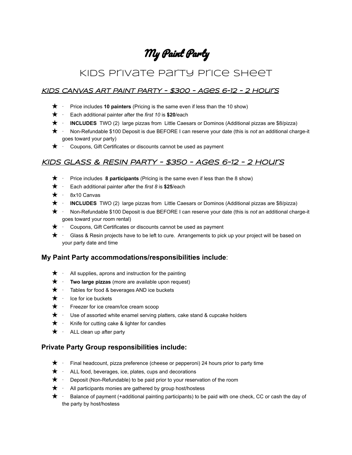# My Paint Party

# Kids Private Party Price Sheet

#### KIDS CANVAS ART PAINT PARTY - \$300 - Ages 6-12 - 2 Hours

- ★ · Price includes **10 painters** (Pricing is the same even if less than the 10 show)
- ★ · Each additional painter after the *first 10* is **\$20**/each
- ★ · **INCLUDES** TWO (2) large pizzas from Little Caesars or Dominos (Additional pizzas are \$8/pizza)
- ★ · Non-Refundable \$100 Deposit is due BEFORE I can reserve your date (this is *not* an additional charge-it goes toward your party)
- $\star \cdot$  Coupons, Gift Certificates or discounts cannot be used as payment

### KIDS GLASS & RESIN PARTY - \$350 - Ages 6-12 - 2 hours

- ★ · Price includes **8 participants** (Pricing is the same even if less than the 8 show)
- ★ · Each additional painter after the *first 8* is **\$25**/each
- $\star \cdot$  8x10 Canvas
- ★ · **INCLUDES** TWO (2) large pizzas from Little Caesars or Dominos (Additional pizzas are \$8/pizza)
- ★ · Non-Refundable \$100 Deposit is due BEFORE I can reserve your date (this is *not* an additional charge-it goes toward your room rental)
- $\star$  · Coupons, Gift Certificates or discounts cannot be used as payment
- $\star$  · Glass & Resin projects have to be left to cure. Arrangements to pick up your project will be based on your party date and time

#### **My Paint Party accommodations/responsibilities include**:

- $\star$  · All supplies, aprons and instruction for the painting
- ★ · **Two large pizzas** (more are available upon request)
- ★ · Tables for food & beverages AND ice buckets
- $\bigstar$  · Ice for ice buckets
- $\bigstar$  · Freezer for ice cream/Ice cream scoop
- $\star \cdot$  Use of assorted white enamel serving platters, cake stand & cupcake holders
- $\star$  · Knife for cutting cake & lighter for candles
- $\star$  · ALL clean up after party

#### **Private Party Group responsibilities include:**

- $\bigstar$  · Final headcount, pizza preference (cheese or pepperoni) 24 hours prior to party time
- $\star \cdot$  ALL food, beverages, ice, plates, cups and decorations
- $\bigstar$  · Deposit (Non-Refundable) to be paid prior to your reservation of the room
- $\star$  · All participants monies are gathered by group host/hostess
- ★ · Balance of payment (+additional painting participants) to be paid with one check, CC or cash the day of the party by host/hostess